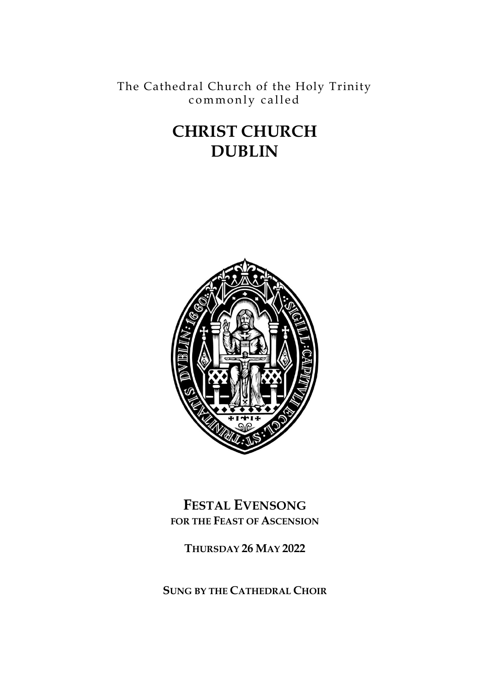The Cathedral Church of the Holy Trinity commonly called

# **CHRIST CHURCH DUBLIN**



**FESTAL EVENSONG FOR THE FEAST OF ASCENSION**

**THURSDAY 26 MAY 2022**

**SUNG BY THE CATHEDRAL CHOIR**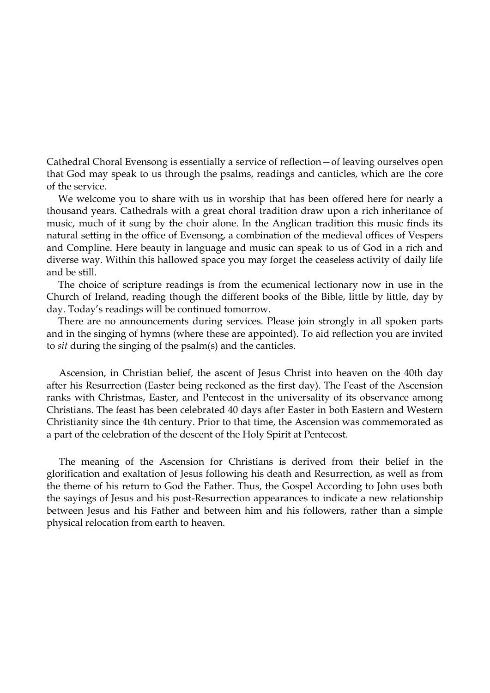Cathedral Choral Evensong is essentially a service of reflection—of leaving ourselves open that God may speak to us through the psalms, readings and canticles, which are the core of the service.

We welcome you to share with us in worship that has been offered here for nearly a thousand years. Cathedrals with a great choral tradition draw upon a rich inheritance of music, much of it sung by the choir alone. In the Anglican tradition this music finds its natural setting in the office of Evensong, a combination of the medieval offices of Vespers and Compline. Here beauty in language and music can speak to us of God in a rich and diverse way. Within this hallowed space you may forget the ceaseless activity of daily life and be still.

The choice of scripture readings is from the ecumenical lectionary now in use in the Church of Ireland, reading though the different books of the Bible, little by little, day by day. Today's readings will be continued tomorrow.

There are no announcements during services. Please join strongly in all spoken parts and in the singing of hymns (where these are appointed). To aid reflection you are invited to *sit* during the singing of the psalm(s) and the canticles.

 Ascension, in Christian belief, the ascent of Jesus Christ into heaven on the 40th day after his Resurrection (Easter being reckoned as the first day). The Feast of the Ascension ranks with Christmas, Easter, and Pentecost in the universality of its observance among Christians. The feast has been celebrated 40 days after Easter in both Eastern and Western Christianity since the 4th century. Prior to that time, the Ascension was commemorated as a part of the celebration of the descent of the Holy Spirit at Pentecost.

 The meaning of the Ascension for Christians is derived from their belief in the glorification and exaltation of Jesus following his death and Resurrection, as well as from the theme of his return to God the Father. Thus, the Gospel According to John uses both the sayings of Jesus and his post-Resurrection appearances to indicate a new relationship between Jesus and his Father and between him and his followers, rather than a simple physical relocation from earth to heaven*.*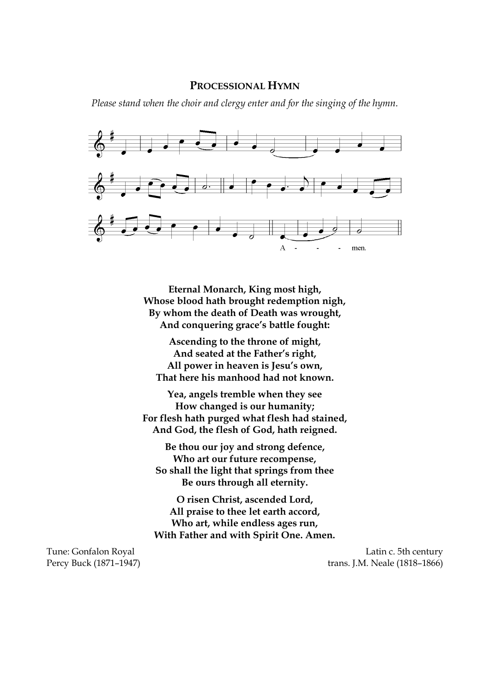#### **PROCESSIONAL HYMN**

*Please stand when the choir and clergy enter and for the singing of the hymn.*



**Eternal Monarch, King most high, Whose blood hath brought redemption nigh, By whom the death of Death was wrought, And conquering grace's battle fought:**

**Ascending to the throne of might, And seated at the Father's right, All power in heaven is Jesu's own, That here his manhood had not known.**

**Yea, angels tremble when they see How changed is our humanity; For flesh hath purged what flesh had stained, And God, the flesh of God, hath reigned.**

**Be thou our joy and strong defence, Who art our future recompense, So shall the light that springs from thee Be ours through all eternity.**

**O risen Christ, ascended Lord, All praise to thee let earth accord, Who art, while endless ages run, With Father and with Spirit One. Amen.**

Tune: Gonfalon Royal **Latin c.** 5th century Percy Buck (1871–1947) trans. J.M. Neale (1818–1866)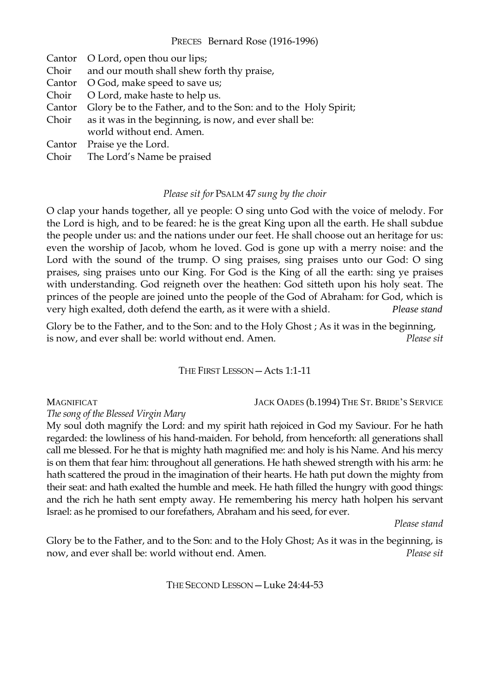# PRECES Bernard Rose (1916-1996)

Cantor O Lord, open thou our lips; Choir and our mouth shall shew forth thy praise, Cantor O God, make speed to save us; Choir O Lord, make haste to help us. Cantor Glory be to the Father, and to the Son: and to the Holy Spirit; Choir as it was in the beginning, is now, and ever shall be: world without end. Amen. Cantor Praise ye the Lord.

Choir The Lord's Name be praised

### *Please sit for* PSALM 47 *sung by the choir*

O clap your hands together, all ye people: O sing unto God with the voice of melody. For the Lord is high, and to be feared: he is the great King upon all the earth. He shall subdue the people under us: and the nations under our feet. He shall choose out an heritage for us: even the worship of Jacob, whom he loved. God is gone up with a merry noise: and the Lord with the sound of the trump. O sing praises, sing praises unto our God: O sing praises, sing praises unto our King. For God is the King of all the earth: sing ye praises with understanding. God reigneth over the heathen: God sitteth upon his holy seat. The princes of the people are joined unto the people of the God of Abraham: for God, which is very high exalted, doth defend the earth, as it were with a shield. *Please stand*

Glory be to the Father, and to the Son: and to the Holy Ghost ; As it was in the beginning, is now, and ever shall be: world without end. Amen. *Please sit*

THE FIRST LESSON—Acts 1:1-11

MAGNIFICAT JACK OADES (b.1994) THE ST. BRIDE'S SERVICE

*The song of the Blessed Virgin Mary* 

My soul doth magnify the Lord: and my spirit hath rejoiced in God my Saviour. For he hath regarded: the lowliness of his hand-maiden. For behold, from henceforth: all generations shall call me blessed. For he that is mighty hath magnified me: and holy is his Name. And his mercy is on them that fear him: throughout all generations. He hath shewed strength with his arm: he hath scattered the proud in the imagination of their hearts. He hath put down the mighty from their seat: and hath exalted the humble and meek. He hath filled the hungry with good things: and the rich he hath sent empty away. He remembering his mercy hath holpen his servant Israel: as he promised to our forefathers, Abraham and his seed, for ever.

*Please stand*

Glory be to the Father, and to the Son: and to the Holy Ghost; As it was in the beginning, is now, and ever shall be: world without end. Amen. *Please sit*

THE SECOND LESSON—Luke 24:44-53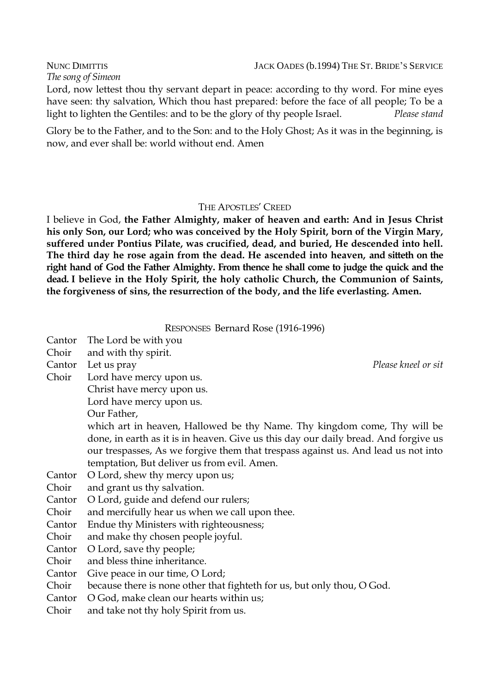*The song of Simeon* 

Lord, now lettest thou thy servant depart in peace: according to thy word. For mine eyes have seen: thy salvation, Which thou hast prepared: before the face of all people; To be a light to lighten the Gentiles: and to be the glory of thy people Israel. *Please stand*

Glory be to the Father, and to the Son: and to the Holy Ghost; As it was in the beginning, is now, and ever shall be: world without end. Amen

# THE APOSTLES' CREED

I believe in God, **the Father Almighty, maker of heaven and earth: And in Jesus Christ his only Son, our Lord; who was conceived by the Holy Spirit, born of the Virgin Mary, suffered under Pontius Pilate, was crucified, dead, and buried, He descended into hell. The third day he rose again from the dead. He ascended into heaven, and sitteth on the right hand of God the Father Almighty. From thence he shall come to judge the quick and the dead. I believe in the Holy Spirit, the holy catholic Church, the Communion of Saints, the forgiveness of sins, the resurrection of the body, and the life everlasting. Amen.**

RESPONSES Bernard Rose (1916-1996)

- Cantor The Lord be with you
- Choir and with thy spirit.
- 
- Choir Lord have mercy upon us.
	- Christ have mercy upon us.
		- Lord have mercy upon us.
			- Our Father,
		- which art in heaven, Hallowed be thy Name. Thy kingdom come, Thy will be done, in earth as it is in heaven. Give us this day our daily bread. And forgive us our trespasses, As we forgive them that trespass against us. And lead us not into temptation, But deliver us from evil. Amen.
- Cantor O Lord, shew thy mercy upon us;
- Choir and grant us thy salvation.
- Cantor O Lord, guide and defend our rulers;
- Choir and mercifully hear us when we call upon thee.
- Cantor Endue thy Ministers with righteousness;
- Choir and make thy chosen people joyful.
- Cantor O Lord, save thy people;
- Choir and bless thine inheritance.
- Cantor Give peace in our time, O Lord;
- Choir because there is none other that fighteth for us, but only thou, O God.
- Cantor O God, make clean our hearts within us;
- Choir and take not thy holy Spirit from us.

Cantor Let us pray *Please kneel or sit*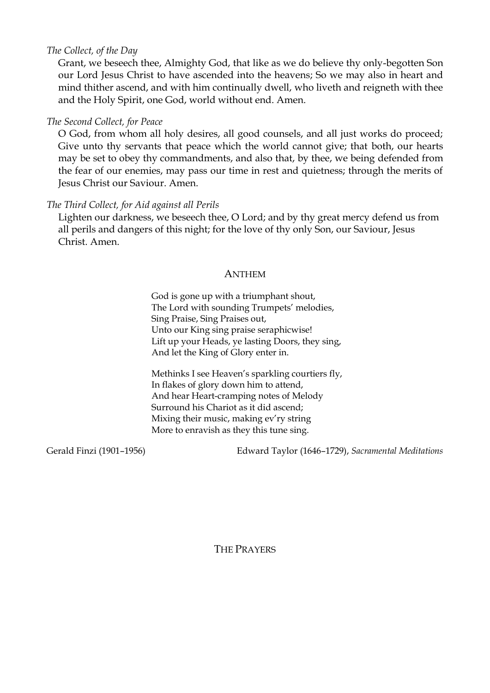# *The Collect, of the Day*

Grant, we beseech thee, Almighty God, that like as we do believe thy only-begotten Son our Lord Jesus Christ to have ascended into the heavens; So we may also in heart and mind thither ascend, and with him continually dwell, who liveth and reigneth with thee and the Holy Spirit, one God, world without end. Amen.

# *The Second Collect, for Peace*

O God, from whom all holy desires, all good counsels, and all just works do proceed; Give unto thy servants that peace which the world cannot give; that both, our hearts may be set to obey thy commandments, and also that, by thee, we being defended from the fear of our enemies, may pass our time in rest and quietness; through the merits of Jesus Christ our Saviour. Amen.

# *The Third Collect, for Aid against all Perils*

Lighten our darkness, we beseech thee, O Lord; and by thy great mercy defend us from all perils and dangers of this night; for the love of thy only Son, our Saviour, Jesus Christ. Amen.

# ANTHEM

God is gone up with a triumphant shout, The Lord with sounding Trumpets' melodies, Sing Praise, Sing Praises out, Unto our King sing praise seraphicwise! Lift up your Heads, ye lasting Doors, they sing, And let the King of Glory enter in.

Methinks I see Heaven's sparkling courtiers fly, In flakes of glory down him to attend, And hear Heart-cramping notes of Melody Surround his Chariot as it did ascend; Mixing their music, making ev'ry string More to enravish as they this tune sing.

Gerald Finzi (1901–1956) Edward Taylor (1646–1729), *Sacramental Meditations*

THE PRAYERS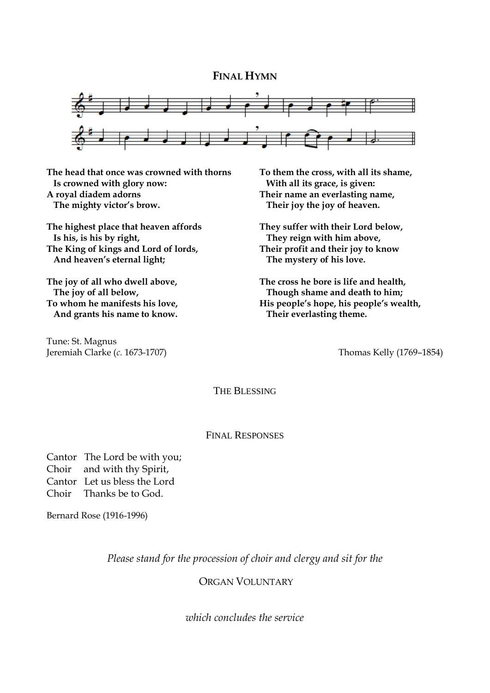## **FINAL HYMN**



**The head that once was crowned with thorns Is crowned with glory now: A royal diadem adorns The mighty victor's brow.**

**The highest place that heaven affords Is his, is his by right, The King of kings and Lord of lords, And heaven's eternal light;**

**The joy of all who dwell above, The joy of all below, To whom he manifests his love, And grants his name to know.**

Tune: St. Magnus Jeremiah Clarke (*c.* 1673-1707) Thomas Kelly (1769–1854)

**To them the cross, with all its shame, With all its grace, is given: Their name an everlasting name, Their joy the joy of heaven.**

**They suffer with their Lord below, They reign with him above, Their profit and their joy to know The mystery of his love.**

**The cross he bore is life and health, Though shame and death to him; His people's hope, his people's wealth, Their everlasting theme.**

THE BLESSING

#### FINAL RESPONSES

Cantor The Lord be with you; Choir and with thy Spirit, Cantor Let us bless the Lord Choir Thanks be to God.

Bernard Rose (1916-1996)

*Please stand for the procession of choir and clergy and sit for the*

ORGAN VOLUNTARY

*which concludes the service*